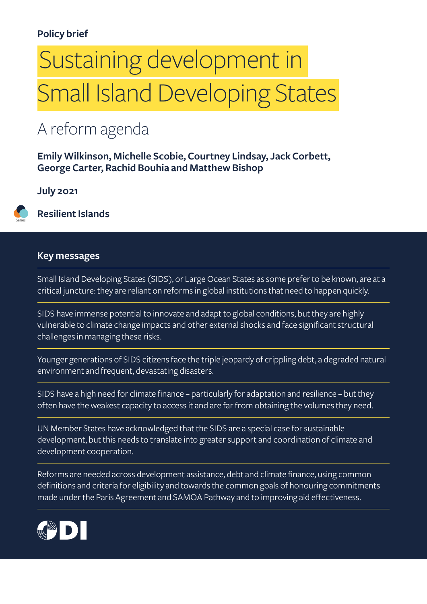#### **Policy brief**

# Sustaining development in Small Island Developing States

#### A reform agenda

**Emily Wilkinson, Michelle Scobie, Courtney Lindsay, Jack Corbett, George Carter, Rachid Bouhia and Matthew Bishop**

#### **July 2021**

Series

**Resilient Islands**

#### **Key messages**

Small Island Developing States (SIDS), or Large Ocean States as some prefer to be known, are at a critical juncture: they are reliant on reforms in global institutions that need to happen quickly.

SIDS have immense potential to innovate and adapt to global conditions, but they are highly vulnerable to climate change impacts and other external shocks and face significant structural challenges in managing these risks.

Younger generations of SIDS citizens face the triple jeopardy of crippling debt, a degraded natural environment and frequent, devastating disasters.

SIDS have a high need for climate finance – particularly for adaptation and resilience – but they often have the weakest capacity to access it and are far from obtaining the volumes they need.

UN Member States have acknowledged that the SIDS are a special case for sustainable development, but this needs to translate into greater support and coordination of climate and development cooperation.

Reforms are needed across development assistance, debt and climate finance, using common definitions and criteria for eligibility and towards the common goals of honouring commitments made under the Paris Agreement and SAMOA Pathway and to improving aid effectiveness.

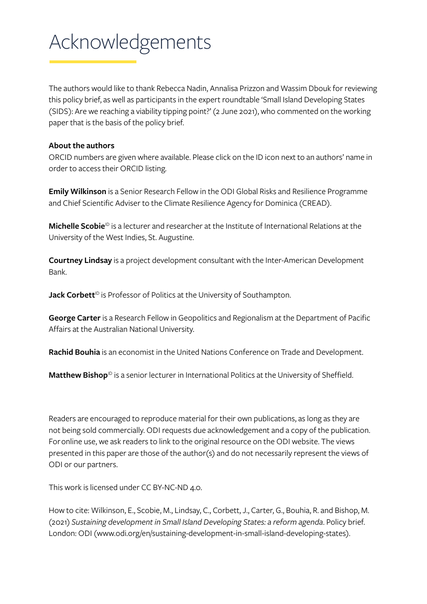# Acknowledgements

The authors would like to thank Rebecca Nadin, Annalisa Prizzon and Wassim Dbouk for reviewing this policy brief, as well as participants in the expert roundtable 'Small Island Developing States (SIDS): Are we reaching a viability tipping point?' (2 June 2021), who commented on the working paper that is the basis of the policy brief.

#### **About the authors**

ORCID numbers are given where available. Please click on the ID icon next to an authors' name in order to access their ORCID listing.

**Emily Wilkinson** is a Senior Research Fellow in the ODI Global Risks and Resilience Programme and Chief Scientific Adviser to the Climate Resilience Agency for Dominica (CREAD).

Michelle Scobie<sup>ID</sup> is a lecturer and researcher at the Institute of International Relations at the University of the West Indies, St. Augustine.

**Courtney Lindsay** is a project development consultant with the Inter-American Development Bank.

Jack Corbett<sup>ID</sup> is Professor of Politics at the University of Southampton.

**George Carter** is a Research Fellow in Geopolitics and Regionalism at the Department of Pacific Affairs at the Australian National University.

**Rachid Bouhia** is an economist in the United Nations Conference on Trade and Development.

Matthew Bishop<sup>1D</sup> is a senior lecturer in International Politics at the University of Sheffield.

Readers are encouraged to reproduce material for their own publications, as long as they are not being sold commercially. ODI requests due acknowledgement and a copy of the publication. For online use, we ask readers to link to the original resource on the ODI website. The views presented in this paper are those of the author(s) and do not necessarily represent the views of ODI or our partners.

This work is licensed under CC BY-NC-ND 4.0.

How to cite: Wilkinson, E., Scobie, M., Lindsay, C., Corbett, J., Carter, G., Bouhia, R. and Bishop, M. (2021) *Sustaining development in Small Island Developing States: a reform agenda*. Policy brief. London: ODI [\(www.odi.org/en/sustaining-development-in-small-island-developing-states](http://www.odi.org/en/sustaining-development-in-small-island-developing-states)).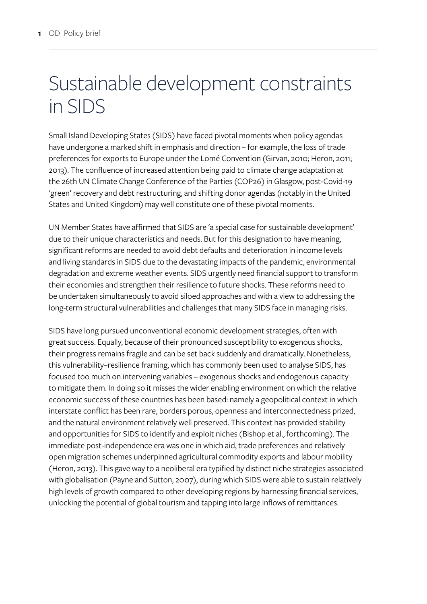### Sustainable development constraints in SIDS

Small Island Developing States (SIDS) have faced pivotal moments when policy agendas have undergone a marked shift in emphasis and direction – for example, the loss of trade preferences for exports to Europe under the Lomé Convention (Girvan, 2010; Heron, 2011; 2013). The confluence of increased attention being paid to climate change adaptation at the 26th UN Climate Change Conference of the Parties (COP26) in Glasgow, post-Covid-19 'green' recovery and debt restructuring, and shifting donor agendas (notably in the United States and United Kingdom) may well constitute one of these pivotal moments.

UN Member States have affirmed that SIDS are 'a special case for sustainable development' due to their unique characteristics and needs. But for this designation to have meaning, significant reforms are needed to avoid debt defaults and deterioration in income levels and living standards in SIDS due to the devastating impacts of the pandemic, environmental degradation and extreme weather events. SIDS urgently need financial support to transform their economies and strengthen their resilience to future shocks. These reforms need to be undertaken simultaneously to avoid siloed approaches and with a view to addressing the long-term structural vulnerabilities and challenges that many SIDS face in managing risks.

SIDS have long pursued unconventional economic development strategies, often with great success. Equally, because of their pronounced susceptibility to exogenous shocks, their progress remains fragile and can be set back suddenly and dramatically. Nonetheless, this vulnerability–resilience framing, which has commonly been used to analyse SIDS, has focused too much on intervening variables – exogenous shocks and endogenous capacity to mitigate them. In doing so it misses the wider enabling environment on which the relative economic success of these countries has been based: namely a geopolitical context in which interstate conflict has been rare, borders porous, openness and interconnectedness prized, and the natural environment relatively well preserved. This context has provided stability and opportunities for SIDS to identify and exploit niches (Bishop et al., forthcoming). The immediate post-independence era was one in which aid, trade preferences and relatively open migration schemes underpinned agricultural commodity exports and labour mobility (Heron, 2013). This gave way to a neoliberal era typified by distinct niche strategies associated with globalisation (Payne and Sutton, 2007), during which SIDS were able to sustain relatively high levels of growth compared to other developing regions by harnessing financial services, unlocking the potential of global tourism and tapping into large inflows of remittances.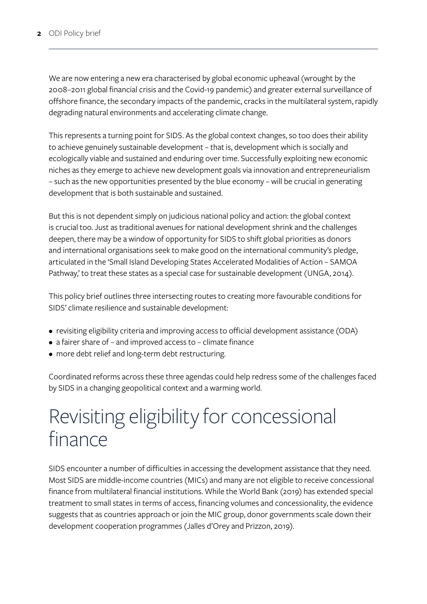We are now entering a new era characterised by global economic upheaval (wrought by the 2008–2011 global financial crisis and the Covid-19 pandemic) and greater external surveillance of offshore finance, the secondary impacts of the pandemic, cracks in the multilateral system, rapidly degrading natural environments and accelerating climate change.

This represents a turning point for SIDS. As the global context changes, so too does their ability to achieve genuinely sustainable development – that is, development which is socially and ecologically viable and sustained and enduring over time. Successfully exploiting new economic niches as they emerge to achieve new development goals via innovation and entrepreneurialism – such as the new opportunities presented by the blue economy – will be crucial in generating development that is both sustainable and sustained.

But this is not dependent simply on judicious national policy and action: the global context is crucial too. Just as traditional avenues for national development shrink and the challenges deepen, there may be a window of opportunity for SIDS to shift global priorities as donors and international organisations seek to make good on the international community's pledge, articulated in the 'Small Island Developing States Accelerated Modalities of Action – SAMOA Pathway,' to treat these states as a special case for sustainable development (UNGA, 2014).

This policy brief outlines three intersecting routes to creating more favourable conditions for SIDS' climate resilience and sustainable development:

- revisiting eligibility criteria and improving access to official development assistance (ODA)
- a fairer share of and improved access to climate finance
- more debt relief and long-term debt restructuring.

Coordinated reforms across these three agendas could help redress some of the challenges faced by SIDS in a changing geopolitical context and a warming world.

### Revisiting eligibility for concessional finance

SIDS encounter a number of difficulties in accessing the development assistance that they need. Most SIDS are middle-income countries (MICs) and many are not eligible to receive concessional finance from multilateral financial institutions. While the World Bank (2019) has extended special treatment to small states in terms of access, financing volumes and concessionality, the evidence suggests that as countries approach or join the MIC group, donor governments scale down their development cooperation programmes (Jalles d'Orey and Prizzon, 2019).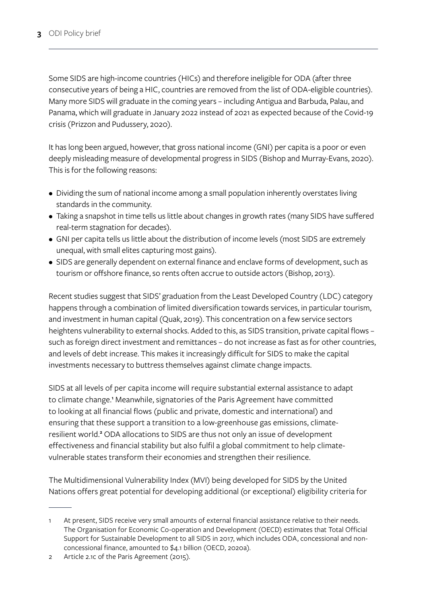Some SIDS are high-income countries (HICs) and therefore ineligible for ODA (after three consecutive years of being a HIC, countries are removed from the list of ODA-eligible countries). Many more SIDS will graduate in the coming years – including Antigua and Barbuda, Palau, and Panama, which will graduate in January 2022 instead of 2021 as expected because of the Covid-19 crisis (Prizzon and Pudussery, 2020).

It has long been argued, however, that gross national income (GNI) per capita is a poor or even deeply misleading measure of developmental progress in SIDS (Bishop and Murray-Evans, 2020). This is for the following reasons:

- Dividing the sum of national income among a small population inherently overstates living standards in the community.
- Taking a snapshot in time tells us little about changes in growth rates (many SIDS have suffered real-term stagnation for decades).
- GNI per capita tells us little about the distribution of income levels (most SIDS are extremely unequal, with small elites capturing most gains).
- SIDS are generally dependent on external finance and enclave forms of development, such as tourism or offshore finance, so rents often accrue to outside actors (Bishop, 2013).

Recent studies suggest that SIDS' graduation from the Least Developed Country (LDC) category happens through a combination of limited diversification towards services, in particular tourism, and investment in human capital (Quak, 2019). This concentration on a few service sectors heightens vulnerability to external shocks. Added to this, as SIDS transition, private capital flows – such as foreign direct investment and remittances – do not increase as fast as for other countries, and levels of debt increase. This makes it increasingly difficult for SIDS to make the capital investments necessary to buttress themselves against climate change impacts.

SIDS at all levels of per capita income will require substantial external assistance to adapt to climate change.<sup>1</sup> Meanwhile, signatories of the Paris Agreement have committed to looking at all financial flows (public and private, domestic and international) and ensuring that these support a transition to a low-greenhouse gas emissions, climateresilient world.<sup>2</sup> ODA allocations to SIDS are thus not only an issue of development effectiveness and financial stability but also fulfil a global commitment to help climatevulnerable states transform their economies and strengthen their resilience.

The Multidimensional Vulnerability Index (MVI) being developed for SIDS by the United Nations offers great potential for developing additional (or exceptional) eligibility criteria for

<sup>1</sup> At present, SIDS receive very small amounts of external financial assistance relative to their needs. The Organisation for Economic Co-operation and Development (OECD) estimates that Total Official Support for Sustainable Development to all SIDS in 2017, which includes ODA, concessional and nonconcessional finance, amounted to \$4.1 billion (OECD, 2020a).

<sup>2</sup> Article 2.1c of the Paris Agreement (2015).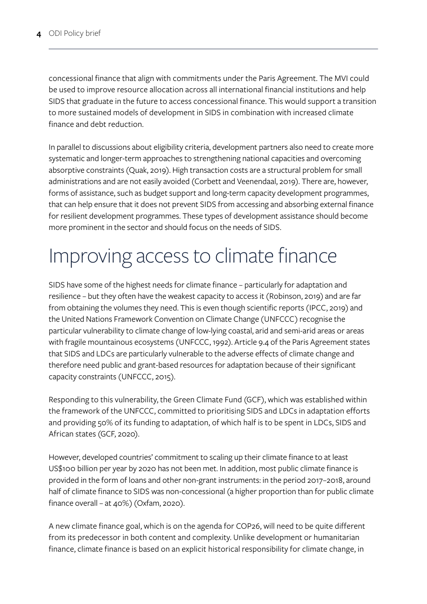concessional finance that align with commitments under the Paris Agreement. The MVI could be used to improve resource allocation across all international financial institutions and help SIDS that graduate in the future to access concessional finance. This would support a transition to more sustained models of development in SIDS in combination with increased climate finance and debt reduction.

In parallel to discussions about eligibility criteria, development partners also need to create more systematic and longer-term approaches to strengthening national capacities and overcoming absorptive constraints (Quak, 2019). High transaction costs are a structural problem for small administrations and are not easily avoided (Corbett and Veenendaal, 2019). There are, however, forms of assistance, such as budget support and long-term capacity development programmes, that can help ensure that it does not prevent SIDS from accessing and absorbing external finance for resilient development programmes. These types of development assistance should become more prominent in the sector and should focus on the needs of SIDS.

## Improving access to climate finance

SIDS have some of the highest needs for climate finance – particularly for adaptation and resilience – but they often have the weakest capacity to access it (Robinson, 2019) and are far from obtaining the volumes they need. This is even though scientific reports (IPCC, 2019) and the United Nations Framework Convention on Climate Change (UNFCCC) recognise the particular vulnerability to climate change of low-lying coastal, arid and semi-arid areas or areas with fragile mountainous ecosystems (UNFCCC, 1992). Article 9.4 of the Paris Agreement states that SIDS and LDCs are particularly vulnerable to the adverse effects of climate change and therefore need public and grant-based resources for adaptation because of their significant capacity constraints (UNFCCC, 2015).

Responding to this vulnerability, the Green Climate Fund (GCF), which was established within the framework of the UNFCCC, committed to prioritising SIDS and LDCs in adaptation efforts and providing 50% of its funding to adaptation, of which half is to be spent in LDCs, SIDS and African states (GCF, 2020).

However, developed countries' commitment to scaling up their climate finance to at least US\$100 billion per year by 2020 has not been met. In addition, most public climate finance is provided in the form of loans and other non-grant instruments: in the period 2017–2018, around half of climate finance to SIDS was non-concessional (a higher proportion than for public climate finance overall – at 40%) (Oxfam, 2020).

A new climate finance goal, which is on the agenda for COP26, will need to be quite different from its predecessor in both content and complexity. Unlike development or humanitarian finance, climate finance is based on an explicit historical responsibility for climate change, in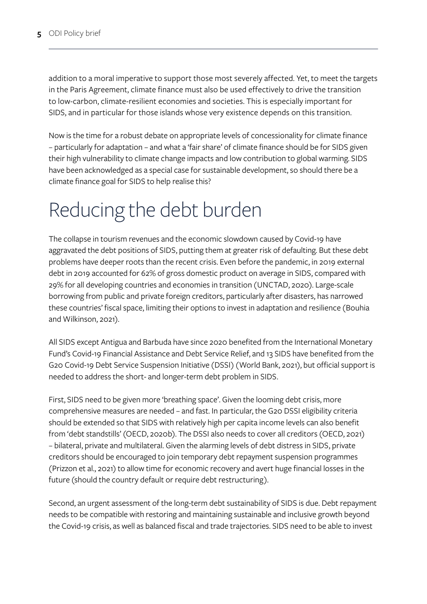addition to a moral imperative to support those most severely affected. Yet, to meet the targets in the Paris Agreement, climate finance must also be used effectively to drive the transition to low-carbon, climate-resilient economies and societies. This is especially important for SIDS, and in particular for those islands whose very existence depends on this transition.

Now is the time for a robust debate on appropriate levels of concessionality for climate finance – particularly for adaptation – and what a 'fair share' of climate finance should be for SIDS given their high vulnerability to climate change impacts and low contribution to global warming. SIDS have been acknowledged as a special case for sustainable development, so should there be a climate finance goal for SIDS to help realise this?

### Reducing the debt burden

The collapse in tourism revenues and the economic slowdown caused by Covid-19 have aggravated the debt positions of SIDS, putting them at greater risk of defaulting. But these debt problems have deeper roots than the recent crisis. Even before the pandemic, in 2019 external debt in 2019 accounted for 62% of gross domestic product on average in SIDS, compared with 29% for all developing countries and economies in transition (UNCTAD, 2020). Large-scale borrowing from public and private foreign creditors, particularly after disasters, has narrowed these countries' fiscal space, limiting their options to invest in adaptation and resilience (Bouhia and Wilkinson, 2021).

All SIDS except Antigua and Barbuda have since 2020 benefited from the International Monetary Fund's Covid-19 Financial Assistance and Debt Service Relief, and 13 SIDS have benefited from the G20 Covid-19 Debt Service Suspension Initiative (DSSI) (World Bank, 2021), but official support is needed to address the short- and longer-term debt problem in SIDS.

First, SIDS need to be given more 'breathing space'. Given the looming debt crisis, more comprehensive measures are needed – and fast. In particular, the G20 DSSI eligibility criteria should be extended so that SIDS with relatively high per capita income levels can also benefit from 'debt standstills' (OECD, 2020b). The DSSI also needs to cover all creditors (OECD, 2021) – bilateral, private and multilateral. Given the alarming levels of debt distress in SIDS, private creditors should be encouraged to join temporary debt repayment suspension programmes (Prizzon et al., 2021) to allow time for economic recovery and avert huge financial losses in the future (should the country default or require debt restructuring).

Second, an urgent assessment of the long-term debt sustainability of SIDS is due. Debt repayment needs to be compatible with restoring and maintaining sustainable and inclusive growth beyond the Covid-19 crisis, as well as balanced fiscal and trade trajectories. SIDS need to be able to invest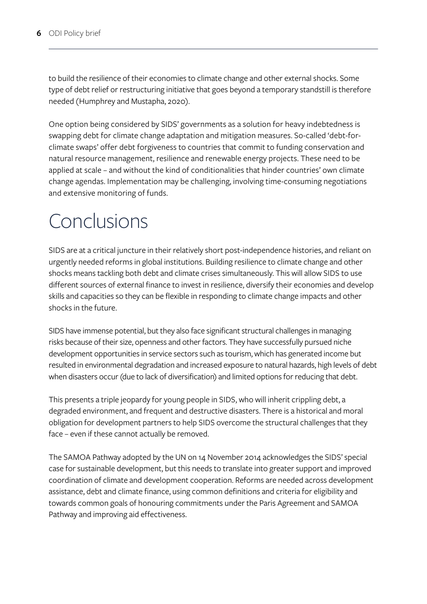to build the resilience of their economies to climate change and other external shocks. Some type of debt relief or restructuring initiative that goes beyond a temporary standstill is therefore needed (Humphrey and Mustapha, 2020).

One option being considered by SIDS' governments as a solution for heavy indebtedness is swapping debt for climate change adaptation and mitigation measures. So-called 'debt-forclimate swaps' offer debt forgiveness to countries that commit to funding conservation and natural resource management, resilience and renewable energy projects. These need to be applied at scale – and without the kind of conditionalities that hinder countries' own climate change agendas. Implementation may be challenging, involving time-consuming negotiations and extensive monitoring of funds.

#### Conclusions

SIDS are at a critical juncture in their relatively short post-independence histories, and reliant on urgently needed reforms in global institutions. Building resilience to climate change and other shocks means tackling both debt and climate crises simultaneously. This will allow SIDS to use different sources of external finance to invest in resilience, diversify their economies and develop skills and capacities so they can be flexible in responding to climate change impacts and other shocks in the future.

SIDS have immense potential, but they also face significant structural challenges in managing risks because of their size, openness and other factors. They have successfully pursued niche development opportunities in service sectors such as tourism, which has generated income but resulted in environmental degradation and increased exposure to natural hazards, high levels of debt when disasters occur (due to lack of diversification) and limited options for reducing that debt.

This presents a triple jeopardy for young people in SIDS, who will inherit crippling debt, a degraded environment, and frequent and destructive disasters. There is a historical and moral obligation for development partners to help SIDS overcome the structural challenges that they face – even if these cannot actually be removed.

The SAMOA Pathway adopted by the UN on 14 November 2014 acknowledges the SIDS' special case for sustainable development, but this needs to translate into greater support and improved coordination of climate and development cooperation. Reforms are needed across development assistance, debt and climate finance, using common definitions and criteria for eligibility and towards common goals of honouring commitments under the Paris Agreement and SAMOA Pathway and improving aid effectiveness.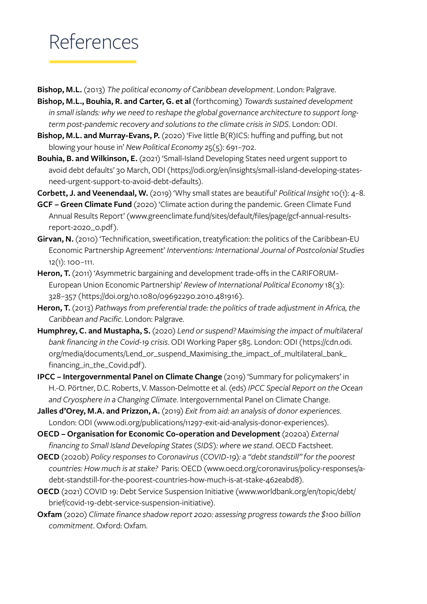### References

**Bishop, M.L.** (2013) *The political economy of Caribbean development*. London: Palgrave.

- **Bishop, M.L., Bouhia, R. and Carter, G. et al** (forthcoming) *Towards sustained development in small islands: why we need to reshape the global governance architecture to support longterm post-pandemic recovery and solutions to the climate crisis in SIDS*. London: ODI.
- **Bishop, M.L. and Murray-Evans, P.** (2020) 'Five little B(R)ICS: huffing and puffing, but not blowing your house in' *New Political Economy* 25(5): 691–702.
- **Bouhia, B. and Wilkinson, E.** (2021) 'Small-Island Developing States need urgent support to avoid debt defaults' 30 March, ODI ([https://odi.org/en/insights/small-island-developing-states](https://odi.org/en/insights/small-island-developing-states-need-urgent-support-to-avoid-debt-defaults)[need-urgent-support-to-avoid-debt-defaults\)](https://odi.org/en/insights/small-island-developing-states-need-urgent-support-to-avoid-debt-defaults).
- **Corbett, J. and Veenendaal, W.** (2019) 'Why small states are beautiful' *Political Insight* 10(1): 4–8.
- **GCF Green Climate Fund** (2020) 'Climate action during the pandemic. Green Climate Fund Annual Results Report' ([www.greenclimate.fund/sites/default/files/page/gcf-annual-results](http://www.greenclimate.fund/sites/default/files/page/gcf-annual-results-report-2020_0.pdf)[report-2020\\_0.pdf\)](http://www.greenclimate.fund/sites/default/files/page/gcf-annual-results-report-2020_0.pdf).
- **Girvan, N.** (2010) 'Technification, sweetification, treatyfication: the politics of the Caribbean-EU Economic Partnership Agreement' *Interventions: International Journal of Postcolonial Studies*  12(1): 100–111.
- Heron, T. (2011) 'Asymmetric bargaining and development trade-offs in the CARIFORUM-European Union Economic Partnership' *Review of International Political Economy* 18(3): 328–357 ([https://doi.org/10.1080/09692290.2010.481916\)](https://doi.org/10.1080/09692290.2010.481916).
- **Heron, T.** (2013) *Pathways from preferential trade: the politics of trade adjustment in Africa, the Caribbean and Pacific*. London: Palgrave.
- **Humphrey, C. and Mustapha, S.** (2020) *Lend or suspend? Maximising the impact of multilateral bank financing in the Covid-19 crisis*. ODI Working Paper 585. London: ODI ([https://cdn.odi.](https://cdn.odi.org/media/documents/Lend_or_suspend_Maximising_the_impact_of_multilateral_bank_financing_in_the_Covid.pdf) [org/media/documents/Lend\\_or\\_suspend\\_Maximising\\_the\\_impact\\_of\\_multilateral\\_bank\\_](https://cdn.odi.org/media/documents/Lend_or_suspend_Maximising_the_impact_of_multilateral_bank_financing_in_the_Covid.pdf) [financing\\_in\\_the\\_Covid.pdf\)](https://cdn.odi.org/media/documents/Lend_or_suspend_Maximising_the_impact_of_multilateral_bank_financing_in_the_Covid.pdf).
- **IPCC Intergovernmental Panel on Climate Change** (2019) 'Summary for policymakers' in H.-O. Pörtner, D.C. Roberts, V. Masson-Delmotte et al. (eds) *IPCC Special Report on the Ocean and Cryosphere in a Changing Climate*. Intergovernmental Panel on Climate Change.
- **Jalles d'Orey, M.A. and Prizzon, A.** (2019) *Exit from aid: an analysis of donor experiences*. London: ODI [\(www.odi.org/publications/11297-exit-aid-analysis-donor-experiences\)](http://www.odi.org/publications/11297-exit-aid-analysis-donor-experiences).
- **OECD Organisation for Economic Co-operation and Development** (2020a) *External financing to Small Island Developing States (SIDS): where we stand*. OECD Factsheet.
- **OECD** (2020b) *Policy responses to Coronavirus (COVID-19): a "debt standstill" for the poorest countries: How much is at stake?* Paris: OECD [\(www.oecd.org/coronavirus/policy-responses/a](http://www.oecd.org/coronavirus/policy-responses/a-debt-standstill-for-the-poorest-countries-how-much-is-at-stake-462eabd8)[debt-standstill-for-the-poorest-countries-how-much-is-at-stake-462eabd8](http://www.oecd.org/coronavirus/policy-responses/a-debt-standstill-for-the-poorest-countries-how-much-is-at-stake-462eabd8)).
- **OECD** (2021) COVID 19: Debt Service Suspension Initiative ([www.worldbank.org/en/topic/debt/](http://www.worldbank.org/en/topic/debt/brief/covid-19-debt-service-suspension-initiative) [brief/covid-19-debt-service-suspension-initiative\)](http://www.worldbank.org/en/topic/debt/brief/covid-19-debt-service-suspension-initiative).
- **Oxfam** (2020) *Climate finance shadow report 2020: assessing progress towards the \$100 billion commitment*. Oxford: Oxfam.